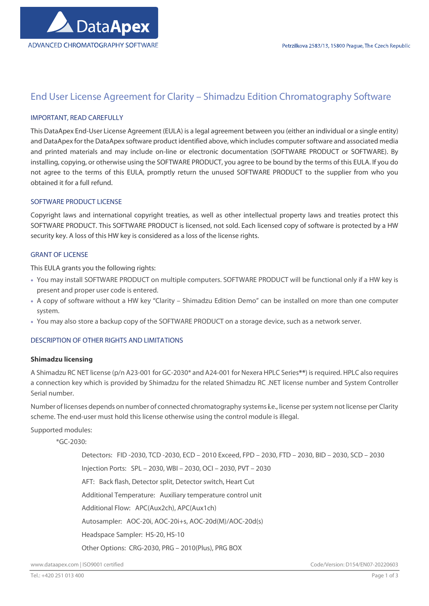

# End User License Agreement for Clarity – Shimadzu Edition Chromatography Software

# IMPORTANT, READ CAREFULLY

This DataApex End-User License Agreement (EULA) is a legal agreement between you (either an individual or a single entity) and DataApex for the DataApex software product identified above, which includes computer software and associated media and printed materials and may include on-line or electronic documentation (SOFTWARE PRODUCT or SOFTWARE). By installing, copying, or otherwise using the SOFTWARE PRODUCT, you agree to be bound by the terms of this EULA. If you do not agree to the terms of this EULA, promptly return the unused SOFTWARE PRODUCT to the supplier from who you obtained it for a full refund.

# SOFTWARE PRODUCT LICENSE

Copyright laws and international copyright treaties, as well as other intellectual property laws and treaties protect this SOFTWARE PRODUCT. This SOFTWARE PRODUCT is licensed, not sold. Each licensed copy of software is protected by a HW security key. A loss of this HW key is considered as a loss of the license rights.

## GRANT OF LICENSE

This EULA grants you the following rights:

- You may install SOFTWARE PRODUCT on multiple computers. SOFTWARE PRODUCT will be functional only if a HW key is present and proper user code is entered.
- A copy of software without a HW key "Clarity Shimadzu Edition Demo" can be installed on more than one computer system.
- You may also store a backup copy of the SOFTWARE PRODUCT on a storage device, such as a network server.

# DESCRIPTION OF OTHER RIGHTS AND LIMITATIONS

#### Shimadzu licensing

A Shimadzu RC NET license (p/n A23-001 for GC-2030\* and A24-001 for Nexera HPLC Series\*\*) is required. HPLC also requires a connection key which is provided by Shimadzu for the related Shimadzu RC .NET license number and System Controller Serial number.

Number of licenses depends on number of connected chromatography systems i.e., license per system not license per Clarity scheme. The end-user must hold this license otherwise using the control module is illegal.

Supported modules:

\*GC-2030:

 Detectors: FID -2030, TCD -2030, ECD – 2010 Exceed, FPD – 2030, FTD – 2030, BID – 2030, SCD – 2030 Injection Ports: SPL – 2030, WBI – 2030, OCI – 2030, PVT – 2030 AFT: Back flash, Detector split, Detector switch, Heart Cut Additional Temperature: Auxiliary temperature control unit Additional Flow: APC(Aux2ch), APC(Aux1ch) Autosampler: AOC-20i, AOC-20i+s, AOC-20d(M)/AOC-20d(s) Headspace Sampler: HS-20, HS-10 Other Options: CRG-2030, PRG – 2010(Plus), PRG BOX

www.dataapex.com | ISO9001 certified Code/Version: D154/EN07-20220603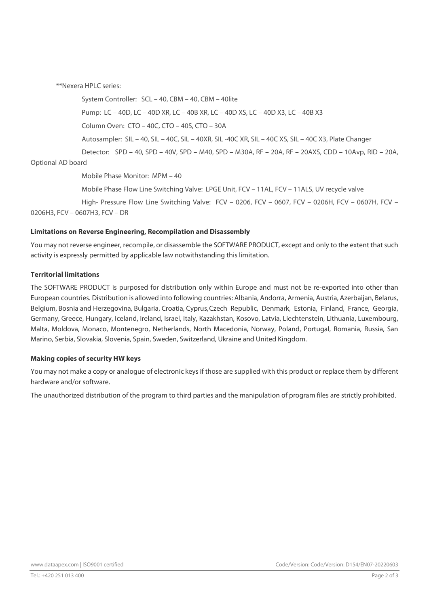\*\*Nexera HPLC series:

System Controller: SCL – 40, CBM – 40, CBM – 40lite

Pump: LC – 40D, LC – 40D XR, LC – 40B XR, LC – 40D XS, LC – 40D X3, LC – 40B X3

Column Oven: CTO – 40C, CTO – 40S, CTO – 30A

Autosampler: SIL – 40, SIL – 40C, SIL – 40XR, SIL -40C XR, SIL – 40C XS, SIL – 40C X3, Plate Changer

 Detector: SPD – 40, SPD – 40V, SPD – M40, SPD – M30A, RF – 20A, RF – 20AXS, CDD – 10Avp, RID – 20A, Optional AD board

Mobile Phase Monitor: MPM – 40

Mobile Phase Flow Line Switching Valve: LPGE Unit, FCV – 11AL, FCV – 11ALS, UV recycle valve

 High- Pressure Flow Line Switching Valve: FCV – 0206, FCV – 0607, FCV – 0206H, FCV – 0607H, FCV – 0206H3, FCV – 0607H3, FCV – DR

#### Limitations on Reverse Engineering, Recompilation and Disassembly

You may not reverse engineer, recompile, or disassemble the SOFTWARE PRODUCT, except and only to the extent that such activity is expressly permitted by applicable law notwithstanding this limitation.

#### Territorial limitations

The SOFTWARE PRODUCT is purposed for distribution only within Europe and must not be re-exported into other than European countries. Distribution is allowed into following countries: Albania, Andorra, Armenia, Austria, Azerbaijan, Belarus, Belgium, Bosnia and Herzegovina, Bulgaria, Croatia, Cyprus, Czech Republic, Denmark, Estonia, Finland, France, Georgia, Germany, Greece, Hungary, Iceland, Ireland, Israel, Italy, Kazakhstan, Kosovo, Latvia, Liechtenstein, Lithuania, Luxembourg, Malta, Moldova, Monaco, Montenegro, Netherlands, North Macedonia, Norway, Poland, Portugal, Romania, Russia, San Marino, Serbia, Slovakia, Slovenia, Spain, Sweden, Switzerland, Ukraine and United Kingdom.

#### Making copies of security HW keys

You may not make a copy or analogue of electronic keys if those are supplied with this product or replace them by different hardware and/or software.

The unauthorized distribution of the program to third parties and the manipulation of program files are strictly prohibited.